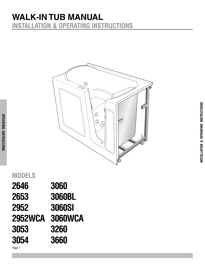## **WALK-IN TUB MANUAL installation & OPERATING INSTRUCTIONS**



| 3060           |
|----------------|
| <b>3060BL</b>  |
| <b>3060SI</b>  |
| <b>3060WCA</b> |
| 3260           |
| 3660           |
|                |

**operating instructions**

**Model30x53**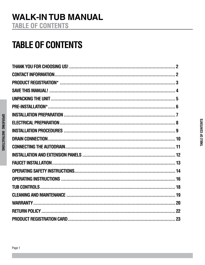## **TABLE OF CONTENTS**

OPERATING INSTRUCTIONS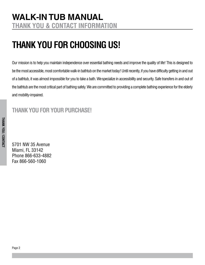# <span id="page-3-0"></span>**THANK YOU FOR CHOOSING US!**

Our mission is to help you maintain independence over essential bathing needs and improve the quality of life! This is designed to be the most accessible, most comfortable walk-in bathtub on the market today! Until recently, if you have difficulty getting in and out of a bathtub, it was almost impossible for you to take a bath. Wespecialize in accessibility and security. Safe transfers in and out of the bathtub are the most critical part of bathing safely. We are committed to providing a complete bathing experience for the elderly and mobility-impaired.

### **Thank you for your purchase!**

5701 NW 35 Avenue Miami, FL 33142 Phone 866-633-4882 Fax 866-560-1060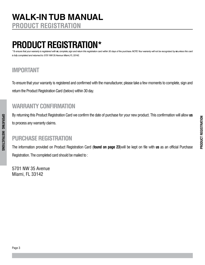## <span id="page-4-0"></span>**Product Registration\***

To ensure that your warranty is registered with us, complete, sign and return this registration card within 30 days of the purchase. NOTE: Your warranty will not be recognized by us unless this card *is fully completed and returned to: 5701 NW 35 Avenue Miami, FL 33142.*

### **IMPORTANT**

**operating instructions**

**OPERATING INSTRUCTIONS** 

To ensure that your warranty is registered and confirmed with the manufacturer, please take a few moments to complete, sign and return the Product Registration Card (below) within 30 day.

#### **WARRANTY CONFIRMATION**

By returning this Product Registration Card we confirm the date of purchase for your new product. This confirmation will allow **us** to process any warranty claims.

#### **PURCHASE REGISTRATION**

The information provided on Product Registration Card (**found on page 23**)will be kept on file with **us** as an official Purchase Registration. The completed card should be mailed to :

5701 NW 35 Avenue Miami, FL 33142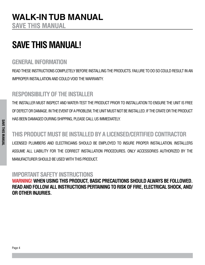## <span id="page-5-0"></span>**Save this manual!**

### **general information**

READ THESE INSTRUCTIONS COMPLETELY BEFORE INSTALLING THE PRODUCTS. FAILURE TO DO SO could RESULT IN an IMPROPER INSTALLATION AND COULD VOID THE WARRANTY.

### **RESPONSIBILITY OF THE INSTALLER**

THE INSTALLER MUST INSPECT AND WATER-TEST THE PRODUCT PRIOR TO INSTALLATION TO ENSURE THE UNIT IS FREE OF DEFECT OR DAMAGE. IN THE EVENT OF A PROBLEM, THE UNIT MUST NOT BE INSTALLED. IF THE CRATE OR THE PRODUCT HAS BEEN DAMAGED DURING SHIPPING, PLEASE CALL US IMMEDIATELY.

### **THIS PRODUCT MUST BE INSTALLED BY A LICENSED/CERTIFIED CONTRACTOR**

LICENSED PLUMBERS AND ELECTRICIANS SHOULD BE EMPLOYED TO INSURE PROPER INSTALLATION. INSTALLERS ASSUME ALL LIABILITY FOR THE CORRECT INSTALLATION PROCEDURES. ONLY ACCESSORIES AUTHORIZED BY THE MANUFACTURER SHOULD BE USED WITH THIS PRODUCT.

## **IMPORTANT SAFETY INSTRUCTIONS**

**Warning! When USING THIS PRODUCT, BASIC PRECAUTIONS SHOULD ALWAYS BE FOLLOWED. READ AND FOLLOW ALL INSTRUCTIONS PERTAINING TO RISK OF FIRE, ELECTRICAL SHOCK, AND/ OR OTHER INJURIES.**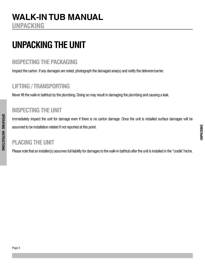**unpac**

**king**

### <span id="page-6-0"></span>**WALK-IN TUB MANUAL unpacking**

# **UNPACKING THE UNIT**

### **INSPECTING THE PACKAGING**

Inspect the carton. If any damages are noted, photograph the damaged area(s) and notify the deliverer/carrier.

### **LIFTING / TRANSPORTING**

Never lift the walk-in bathtub by the plumbing. Doing so may result in damaging the plumbing and causing a leak.

### **INSPECTING THE UNIT**

Immediately inspect the unit for damage even if there is no carton damage. Once the unit is installed surface damages will be assumed to be installation related if not reported at this point.

#### **PLACING THE UNIT**

**operating instructions**

**OPERATING INSTRUCTIONS** 

Please note that an installer(s) assumes full liability for damages to the walk-in bathtub after the unit is installed in the "cradle"/niche.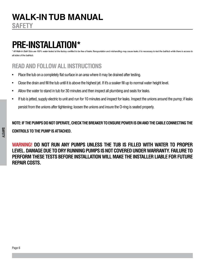<span id="page-7-0"></span><sup>1</sup> Walk-In Bath Tubs are 100% water tested at the factory certified to be free of leaks. Transportation and mishandling may cause leaks. It is necessary to test the bathtub while there is access to *all sides of the bathtub.*

### **ReadAND FOLLOW ALL INSTRUCTIONS**

- Place the tub on a completely flat surface in an area where it may be drained after testing.
- Close the drain and fill the tub until it is above the highest jet. If it's a soaker fill up to normal water height level.
- Allow the water to stand in tub for 30 minutes and then inspect all plumbing and seals for leaks.
- If tub is jetted, supply electric to unit and run for 10 minutes and inspect for leaks. Inspect the unions around the pump; if leaks persist from the unions after tightening; loosen the unions and insure the O-ring is seated properly.

**NOTE: If the pumps do not operate, check the breaker to ensure power is on and the cable connecting the controls to the pump is attached.**

**WARNING! DO NOT RUN ANY PUMPS UNLESS THE TUB IS FILLED WITH WATER TO PROPER LEVEL. DAMAGE DUETO DRY RUNNINGPUMPSISNOTCOVERED UNDERWARRANTY. Failure to perform these tests before installation will make the installer liable for future repair costs.**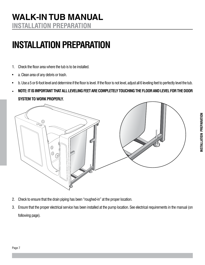### <span id="page-8-0"></span>**WALK-IN TUB MANUAL INSTALLATION preparation**

# **INSTALLATION PREPARATION**

- 1. Check the floor area where the tub is to be installed.
- a. Clean area of any debris or trash.
- • b. Use a 5 or 6-foot level and determine if the floor is level. If the floor is not level, adjust all 6 leveling feet to perfectly level the tub.
- • **Note: it is important that all leveling feet are completely touching the floor and level for the door SYSTEM TO WORK PROPERLY.**  $\begin{array}{cc} \bullet & \mathbf{b}.\ \bullet & \mathbf{N} \end{array}$ **i** Use a 5 or 6-foot level and<br>**NOTE: IT IS IMPORTANT**<br>AMATELE TO MADY RRAI



- 2. Check to ensure that the drain piping has been "roughed-in" at the proper location. **2.** Check to ensure that the drain
	- 3. Ensure that the proper electrical service has been installed at the pump location. See electrical requirements in the manual (on following page).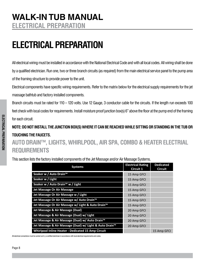# <span id="page-9-0"></span>**electrical PREPARATION**

All electrical wiring must be installed in accordance with the National Electrical Code and with all local codes. All wiring shall be done by a qualified electrician. Run one, two or three branch circuits (as required) from the main electrical service panel to the pump area of the framing structure to provide power to the unit.

Electrical components have specific wiring requirements. Refer to the matrix below for the electrical supply requirements for the jet massage bathtub and factory installed components.

Branch circuits must be rated for 110 – 120 volts. Use 12 Gauge, 3 conductor cable for the circuits. If the length run exceeds 100 feet check with local codes for requirements. Install moisture proof junction box(s) 6" above the floor at the pump end of the framing for each circuit.

**NOTE: DONOT INSTALL THE JUNCTION BOX(S) WHERE ITCAN BEREACHED WHILESITTINGORSTANDINGINTHE TUB OR TOUCHINGTHE FAUCETS.**

### **AUTO DRAIN™, LIGHTS, WHIRLPOOL, AIRSPA, COMBO & HEATERELECTRIAL REQUIREMENTS**

This section lists the factory installed components of the Jet Massage and/or Air Massage Systems.

| <b>Systems</b>                                            | <b>Electrical Rating</b><br><b>Circuit 1</b> | <b>Dedicated</b><br><b>Circuit</b> |
|-----------------------------------------------------------|----------------------------------------------|------------------------------------|
| Soaker w / Auto Drain™                                    | 15 Amp GFCI                                  |                                    |
| Soaker w / Light                                          | 15 Amp GFCI                                  |                                    |
| Soaker w / Auto Drain <sup>™</sup> w / Light              | 15 Amp GFCI                                  |                                    |
| Jet Massage Or Air Massage                                | 15 Amp GFCI                                  |                                    |
| Jet Massage Or Air Massage w / Light                      | 15 Amp GFCI                                  |                                    |
| Jet Massage Or Air Massage w/ Auto Drain <sup>™</sup>     | 15 Amp GFCI                                  |                                    |
| Jet Massage Or Air Massage w/ Light & Auto Drain™         | 15 Amp GFCI                                  |                                    |
| Jet Massage & Air Massage (Dual)                          | 20 Amp GFCI                                  |                                    |
| Jet Massage & Air Massage (Dual) w/ Light                 | 20 Amp GFCI                                  |                                    |
| Jet Massage & Air Massage (Dual) w/ Auto Drain™           | 20 Amp GFCI                                  |                                    |
| Jet Massage & Air Massage (Dual) w/ Light & Auto Drain™   | 20 Amp GFCI                                  |                                    |
| <b>Whirlpool Inline Heater - Dedicated 15 Amp Circuit</b> |                                              | 15 Amp GFCI                        |

All electrical connections must be carried out b y a certified electrician in accordance with local electrical requirements and codes.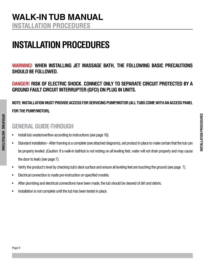### <span id="page-10-0"></span>**WALK-IN TUB MANUAL installation procedures**

# **INSTALLATION PROCEDURES**

**WARNING! When installing jet massage bath, THE FOLLOWING BASIC PRECAUTIONS SHOULD BE FOLLOWED.** 

**Danger! Risk of electric shock. Connect only to separate circuit protected by a groundfault circuit interrupter (GFCI) on plug in units.**

### **NOTE: Installation must provide access for servicing pump/motor (all tubs come with an access panel for the pump/motor).**

### **GENERALGUIDE-THROUGH**

- Install tub waste/overflow according to instructions (see page 10).
- Standard installation After framing is a complete (see attached diagrams), set product in place to make certain that the tub can be properly leveled. (Caution: If a walk-in bathtub is not resting on all leveling feet, water will not drain properly and may cause the door to leak) (see page 7).
- Verify the product's level by checking tub's deck surface and ensure all leveling feet are touching the ground (see page 7).
- Electrical connection is made pre-instruction on specified models.
- After plumbing and electrical connections have been made, the tub should be cleaned of dirt and debris.
- Installation is not complete until the tub has been tested in place.

**operating instructions**

**OPERATING INSTRUCTIONS**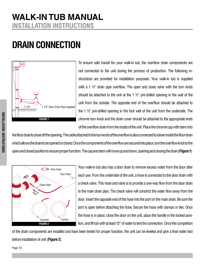## <span id="page-11-0"></span>**WALK-IN TUB MANUAL INSTALLATION INSTRUCTIONS**

# **DRAIN CONNECTION**



To ensure safe transit for your walk-in tub, the overflow drain components are not connected to the unit during the process of production. The following instructions are provided for installation purposes: Your walk-in tub is supplied with a 1  $\frac{1}{2}$  drain pipe overflow. The open and close valve with the turn knob should be attached to the unit at the 1  $\frac{1}{2}$ " pre-drilled opening in the wall of the unit from the outside. The opposite end of the overflow should be attached to the 1 ½" pre-drilled opening in the foot well of the unit from the underside. The chrome turn knob and the drain cover should be attached to the appropriate ends of the overflow drain from the inside of the unit. Place the chrome cap with stem into

the floor drain to close off the opening. The cable attached to the turn knob of the overflow is also connected to a lever inside the floor drain which allows the drain to be opened or closed. Once the components of the overflow are secured into place, turn the overflow knob to the open and closed position to ensure proper function. The cap and stem will move up and down, opening and closing the drain (**Figure 1**).



Your walk-in tub also has a door drain to remove excess water from the door after each use. From the underside of the unit, a hose is connected to the door drain with a check valve. This hose and valve is to provide a one-way flow from the door drain to the main drain pipe. The check valve will constrict the water flow away from the door. Insert the opposite end of the hose into the port on the main drain. Be sure the port is open before attaching the hose. Secure the hose with clamps or ties. Once the hose is in place, close the door on the unit, place the handle in the locked position, and fill tub with at least 12" of water to test the connection. Once the completion

of the drain components are installed and have been tested for proper function, the unit can be leveled and give a final water test before installation of unit (**Figure 2**).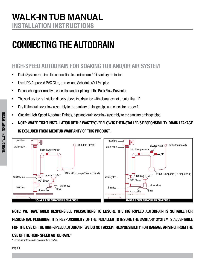# <span id="page-12-0"></span>**Connecting the Autodrain**

### **HIGH-SPEED AUTODRAIN FOR SOAKING TUB AND/OR AIR SYSTEM**

- Drain System requires the connection to a minimum 1  $\frac{1}{2}$  sanitary drain line.
- Use UPC Approved PVC Glue, primer, and Schedule 40 1  $\frac{1}{2}$  ' pipe.
- Do not change or modify the location and or piping of the Back Flow Preventer.
- The sanitary tee is installed directly above the drain tee with clearance not greater than 1".
- Dry fit the drain overflow assembly to the sanitary drainage pipe and check for proper fit.
- Glue the High-Speed Autodrain Fittings, pipe and drain overflow assembly to the sanitary drainage pipe.
- • **NOTE: Water tight installation of the waste/ overflow is the installer's responsibility. Drain leakage IS EXCLUDED FROM MEDITUB WARRANTY OF THIS PRODUCT.**



**NOTE: We have taken responsible precautions to ensure the High-Speed Autodrain is suitable for residential plumbing. It is responsibility of the installer to insure the sanitary system is acceptable for the use of the High-Speed Autodrain. We do not accept responsibility for damage arising from the USE OF THE HIGH- SPEED AUTODRAIN.\***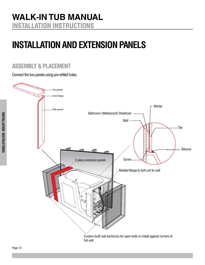# <span id="page-13-0"></span>**Installation and extension panels**

### **assembly & placement**

Connect the two panels using pre-drilled holes:

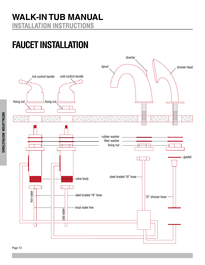# <span id="page-14-0"></span>**Faucet installation**

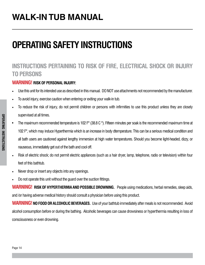# <span id="page-15-0"></span>**operating safety instructions**

### **INSTRUCTIONS PERTAINING TO RISK OF FIRE, ELECTRICAL SHOCK OR INJURY TO PERSONS**

#### **WARNING! Risk of personal injury:**

- Use this unit for its intended use as described in this manual. DO NOT use attachments not recommended by the manufacturer.
- To avoid injury, exercise caution when entering or exiting your walk-in tub.
- To reduce the risk of injury, do not permit children or persons with infirmities to use this product unless they are closely supervised at all times.
- The maximum recommended temperature is 102 F $^{\circ}$  (38.8 C $^{\circ}$ ). Fifteen minutes per soak is the recommended maximum time at 102 F°, which may induce Hyperthermia which is an increase in body dtemperature. This can be a serious medical condition and all bath users are cautioned against lengthy immersion at high water temperatures. Should you become light-headed, dizzy, or nauseous, immediately get out of the bath and cool off.
- Risk of electric shock; do not permit electric appliances (such as a hair dryer, lamp, telephone, radio or television) within four feet of this bathtub.
- Never drop or insert any objects into any openings.
- Do not operate this unit without the guard over the suction fittings.

**WARNING! RISK OF HYPERTHERMIA AND POSSIBLE DROWNING.** People using medications, herbal remedies, sleep aids, and /or having adverse medical history should consult a physician before using this product.

**WARNING! NO FOOD OR ALCOHOLIC BEVERAGES.** Use of your bathtub immediately after meals is not recommended. Avoid alcohol consumption before or during the bathing. Alcoholic beverages can cause drowsiness or hyperthermia resulting in loss of consciousness or even drowning.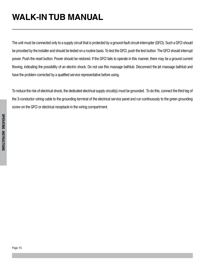The unit must be connected only to a supply circuit that is protected by a ground-fault circuit-interrupter (GFCI). Such a GFCI should be provided by the installer and should be tested on a routine basis. To test the GFCI, push the test button. The GFCI should interrupt power. Push the reset button. Power should be restored. If the GFCI fails to operate in this manner, there may be a ground current flowing, indicating the possibility of an electric shock. Do not use this massage bathtub. Disconnect the jet massage bathtub and have the problem corrected by a qualified service representative before using.

To reduce the risk of electrical shock, the dedicated electrical supply circuit(s) must be grounded. To do this, connect the third leg of the 3-conductor wiring cable to the grounding terminal of the electrical service panel and run continuously to the green grounding screw on the GFCI or electrical receptacle in the wiring compartment.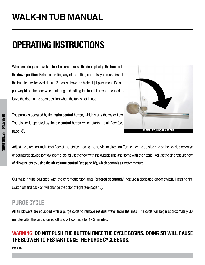# <span id="page-17-0"></span>**operating instructions**

When entering a our walk-in tub, be sure to close the door, placing the **handle** in the **down position**. Before activating any of the jetting controls, you must first fill the bath to a water level at least 2 inches above the highest jet placement. Do not put weight on the door when entering and exiting the tub. It is recommended to leave the door in the open position when the tub is not in use.

The pump is operated by the **hydro control button**, which starts the water flow. The blower is operated by the **air control button** which starts the air flow (see page 18).



Adjust the direction and rate of flow of the jets by moving the nozzle for direction. Turn either the outside ring or the nozzle clockwise or counterclockwise for flow (some jets adjust the flow with the outside ring and some with the nozzle). Adjust the air pressure flow of all water jets by using the **air volume control** (see page 18), which controls air-water mixture.

Our walk-in tubs equipped with the chromotherapy lights **(ordered separately)**, feature a dedicated on/off switch. Pressing the switch off and back on will change the color of light (see page 18).

### **PURGE CYCLE**

All air blowers are equipped with a purge cycle to remove residual water from the lines. The cycle will begin approximately 30 minutes after the unit is turned off and will continue for 1 - 2 minutes.

#### **WARNING: Do not push the button once the cycle begins. Doing so will cause the blower to restart once the purge cycle ends.**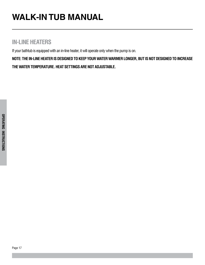### **IN-LINE HEATERS**

If your bathtub is equipped with an in-line heater, it will operate only when the pump is on.

**NOTE: the in-line heater is designed to keep your water warmer longer, but is not designed to increase the water temperature. Heat settings are not adjustable.**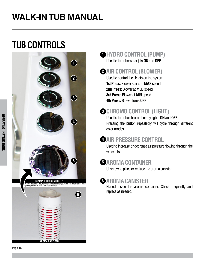# <span id="page-19-0"></span>**tub controls**



### **D**HYDRO CONTROL (PUMP)

Used to turn the water jets **ON** and **OFF**.

### **AIRCONTROL (BLOWER) 2**

Used to control the air jets on the system. **1st Press:** Blower starts at **MAX** speed **2nd Press:** Blower at **MED** speed **3rd Press:** Blower at **MIN** speed **4th Press:** Blower turns **OFF**

### **CHROMOCONTROL (LIGHT) 3**

Used to turn the chromotherapy lights **ON** and **OFF**. Pressing the button repeatedly will cycle through different color modes.

## **AIR PRESSURE C**

Used to increase or decrease air pressure flowing through the water jets.

### **5** AROMA C

Unscrew to place or replace the aroma canister.

### **6** AROMA C

Placed inside the aroma container. Check frequently and replace as needed.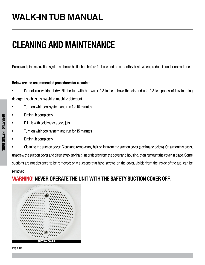# <span id="page-20-0"></span>**CLEANINGAND MAINTENANCE**

Pump and pipe circulation systems should be flushed before first use and on a monthly basis when product is under normal use.

#### **Below are the recommended procedures for cleaning:**

- Do not run whirlpool dry. Fill the tub with hot water 2-3 inches above the jets and add 2-3 teaspoons of low foaming detergent such as dishwashing machine detergent
- Turn on whirlpool system and run for 10 minutes
- Drain tub completely
- Fill tub with cold water above jets
- Turn on whirlpool system and run for 15 minutes
- Drain tub completely
- Cleaning the suction cover: Clean and remove any hair or lint from the suction cover (see image below). On a monthly basis, unscrew the suction cover and clean away any hair, lint or debris from the cover and housing, then remount the cover in place. Some suctions are not designed to be removed; only suctions that have screws on the cover, visible from the inside of the tub, can be removed.

#### **WARNING! NEVER OPERATE THE UNIT WITH THE SAFETY SUCTION COVER OFF.**



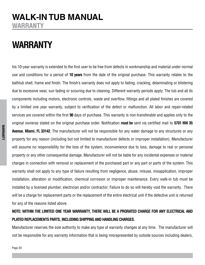## <span id="page-21-0"></span>**WALK-IN TUB MANUAL warranty**

## **warranty**

his 10-year warranty is extended to the first user to be free from defects in workmanship and material under normal use and conditions for a period of **10 years** from the date of the original purchase. This warranty relates to the bathtub shell, frame and finish. The finish's warranty does not apply to fading, cracking, delaminating or blistering due to excessive wear, sun fading or scouring due to cleaning. Different warranty periods apply. The tub and all its components including motors, electronic controls, waste and overflow, fittings and all plated finishes are covered by a limited one year warranty, subject to verification of the defect or malfunction. All labor and repair-related services are covered within the first **90** days of purchase. This warranty is non-transferable and applies only to the original owneras stated on the original purchase order. Notification **must be** sent via certified mail to **5701 NW 35 Avenue. Miami, FL 33142**. The manufacturer will not be responsible for any water damage to any structures or any property for any reason (including but not limited to manufacturer defects or improper installation). Manufacturer will assume no responsibility for the loss of the system, inconvenience due to loss, damage to real or personal property or any other consequential damage. Manufacturer will not be liable for any incidental expenses or material charges in connection with removal or replacement of the purchased part or any part or parts of the system. This warranty shall not apply to any type of failure resulting from negligence, abuse, misuse, misapplication, improper installation, alteration or modification, chemical corrosion or improper maintenance. Every walk-in tub must be installed by a licensed plumber, electrician and/or contractor; Failure to do so will hereby void the warranty. There will be a charge for replacement parts or the replacement of the entire electrical unit if the defective unit is returned for any of the reasons listed above.

#### **NOTE: within the limited one year warranty, there will be a prorated charge for any electrical and PLATED REPLACEMENTS PARTS, INCLUDING SHIPPING AND HANDLING CHARGES.**

Manufacturer reserves the sole authority to make any type of warranty changes at any time. The manufacturer will not be responsible for any warranty information that is being misrepresented by outside sources including dealers,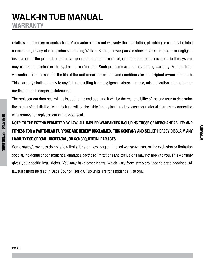## **WALK-IN TUB MANUAL warranty**

retailers, distributors or contractors. Manufacturer does not warranty the installation, plumbing or electrical related connections, of any of our products including Walk-In Baths, shower pans or shower stalls. Improper or negligent installation of the product or other components, alteration made of, or alterations or medications to the system, may cause the product or the system to malfunction. Such problems are not covered by warranty. Manufacturer warranties the door seal for the life of the unit under normal use and conditions for the **original owner** of the tub. This warranty shall not apply to any failure resulting from negligence, abuse, misuse, misapplication, alternation, or medication or improper maintenance.

The replacement door seal will be issued to the end user and it will be the responsibility of the end user to determine the means of installation. Manufacturer will not be liable for any incidental expenses or material charges in connection with removal or replacement of the door seal.

### **NOTE: TO THE EXTEND PERMITTED BY LAW, ALL IMPLIED WARRANTIES INCLUDING THOSE OF MERCHANT ABILITY AND FITNESS FOR A PARTICULAR PURPOSE ARE HEREBY DISCLAIMED. THIS COMPANY AND SELLER HEREBY DISCLAIM ANY LIABILITY FORSPECIAL, INCIDENTAL, ORCONSEQUENTIAL DAMAGES.**

Some states/provinces do not allow limitations on how long an implied warranty lasts, or the exclusion or limitation special, incidental or consequential damages, so these limitations and exclusions may not apply to you. This warranty gives you specific legal rights. You may have other rights, which vary from state/province to state province. All lawsuits must be filed in Dade County, Florida. Tub units are for residential use only.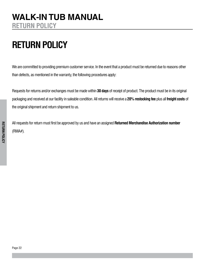# <span id="page-23-0"></span>**RETURN POLICY**

We are committed to providing premium customer service. In the event that a product must be returned due to reasons other than defects, as mentioned in the warranty, the following procedures apply:

Requests for returns and/or exchanges must be made within **30 days** of receipt of product. The product must be in its original packaging and received at our facility in saleable condition. All returns will receive a **20% restocking fee** plus all **freight costs** of the original shipment and return shipment to us.

All requests for return must first be approved by us and have an assigned **Returned Merchandise Authorization number** (RMA#).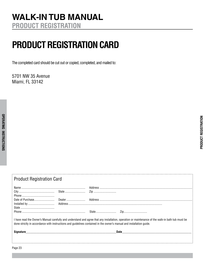# <span id="page-24-0"></span>**product registration card**

The completed card should be cut out or copied, completed, and mailed to:

5701 NW 35 Avenue Miami, FL 33142

| <b>Product Registration Card</b>                                                                                                                                                                                                                                          |  |                                 |  |  |  |
|---------------------------------------------------------------------------------------------------------------------------------------------------------------------------------------------------------------------------------------------------------------------------|--|---------------------------------|--|--|--|
|                                                                                                                                                                                                                                                                           |  |                                 |  |  |  |
|                                                                                                                                                                                                                                                                           |  |                                 |  |  |  |
|                                                                                                                                                                                                                                                                           |  |                                 |  |  |  |
|                                                                                                                                                                                                                                                                           |  |                                 |  |  |  |
| I have read the Owner's Manual carefully and understand and agree that any installation, operation or maintenance of the walk-in bath tub must be<br>done strictly in accordance with instructions and guidelines contained in the owner's manual and installation guide. |  |                                 |  |  |  |
| Signature <b>Signature</b> and the state of the state of the state of the state of the state of the state of the state of the state of the state of the state of the state of the state of the state of the state of the state of t                                       |  | Date __________________________ |  |  |  |
|                                                                                                                                                                                                                                                                           |  |                                 |  |  |  |
| Page 23                                                                                                                                                                                                                                                                   |  |                                 |  |  |  |

**PRODUCT REGISTRATION duct registration**